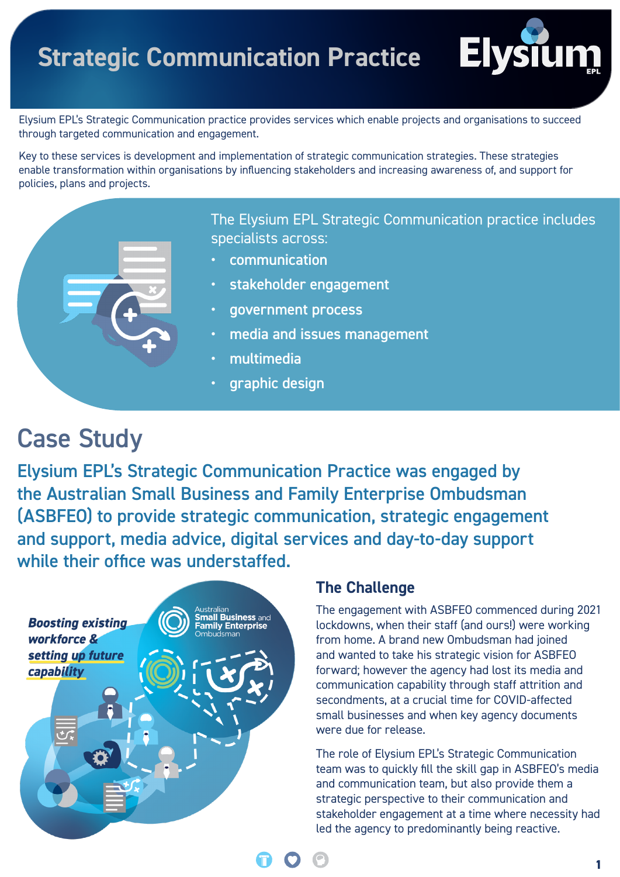# **Strategic Communication Practice**



Elysium EPL's Strategic Communication practice provides services which enable projects and organisations to succeed through targeted communication and engagement.

Key to these services is development and implementation of strategic communication strategies. These strategies enable transformation within organisations by influencing stakeholders and increasing awareness of, and support for policies, plans and projects.

> The Elysium EPL Strategic Communication practice includes specialists across:

- communication
- stakeholder engagement
- government process
- media and issues management
- multimedia
- graphic design

## Case Study

Elysium EPL's Strategic Communication Practice was engaged by the Australian Small Business and Family Enterprise Ombudsman (ASBFEO) to provide strategic communication, strategic engagement and support, media advice, digital services and day-to-day support while their office was understaffed.



#### **The Challenge**

The engagement with ASBFEO commenced during 2021 lockdowns, when their staff (and ours!) were working from home. A brand new Ombudsman had joined and wanted to take his strategic vision for ASBFEO forward; however the agency had lost its media and communication capability through staff attrition and secondments, at a crucial time for COVID-affected small businesses and when key agency documents were due for release.

The role of Elysium EPL's Strategic Communication team was to quickly fill the skill gap in ASBFEO's media and communication team, but also provide them a strategic perspective to their communication and stakeholder engagement at a time where necessity had led the agency to predominantly being reactive.